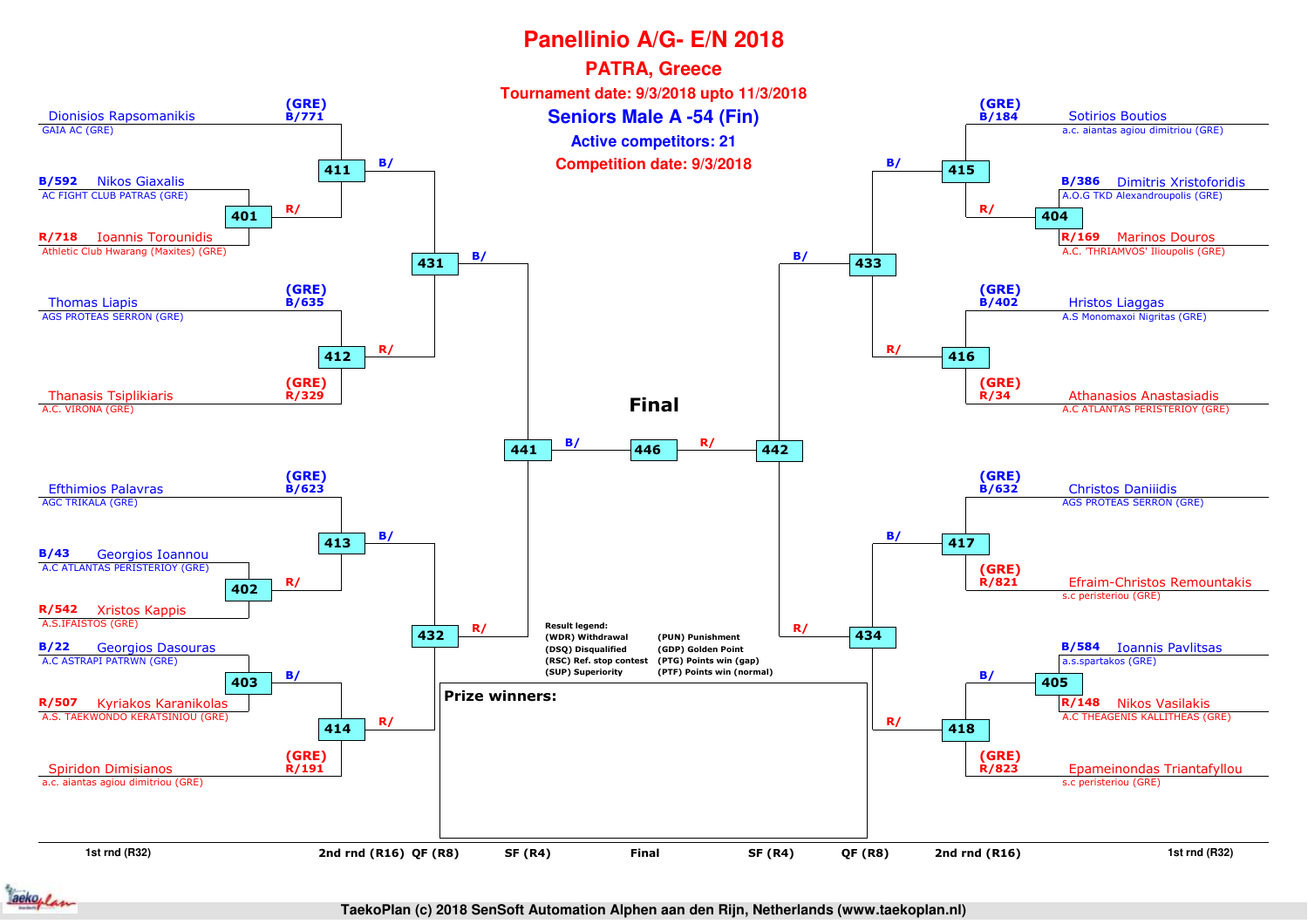

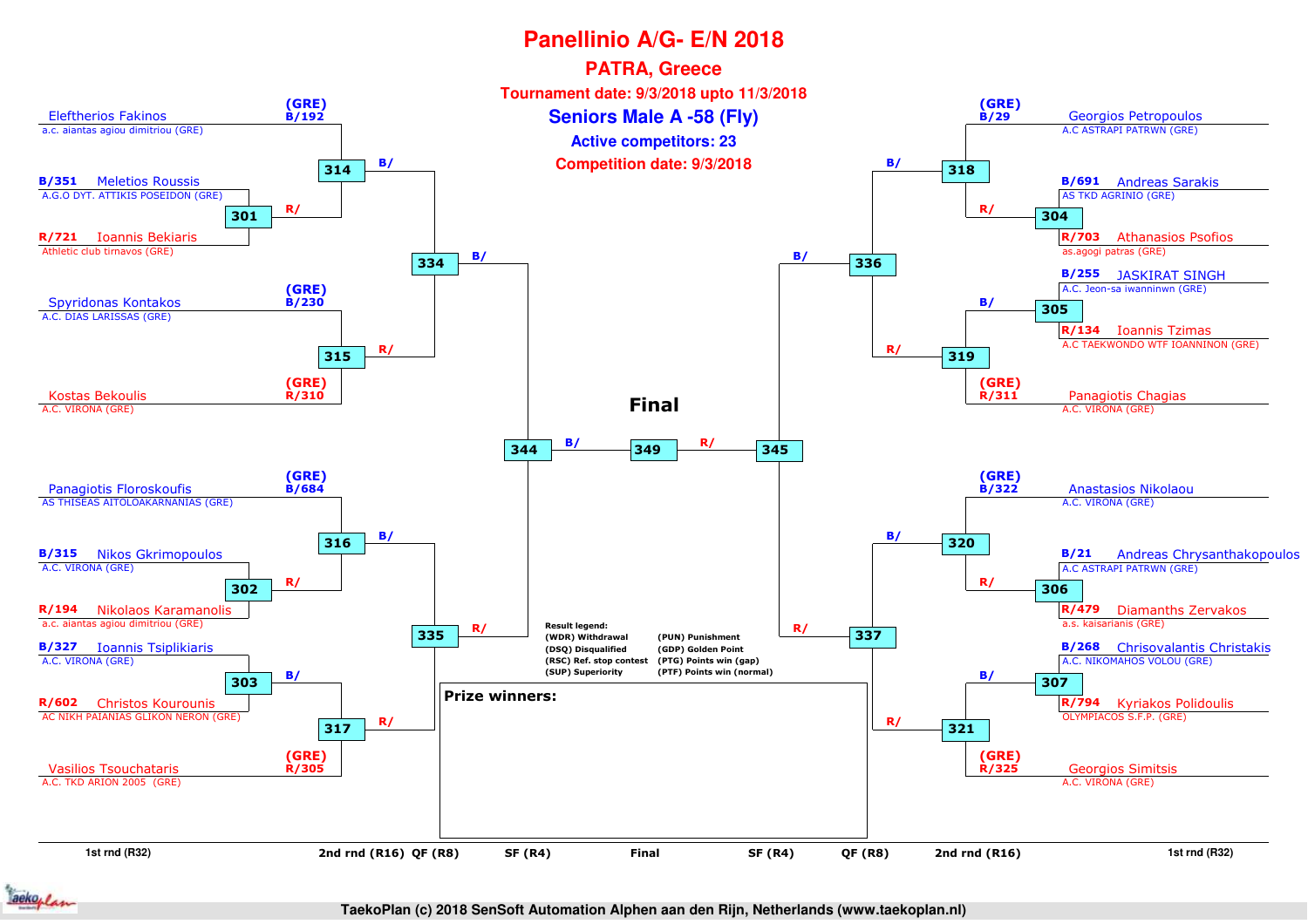

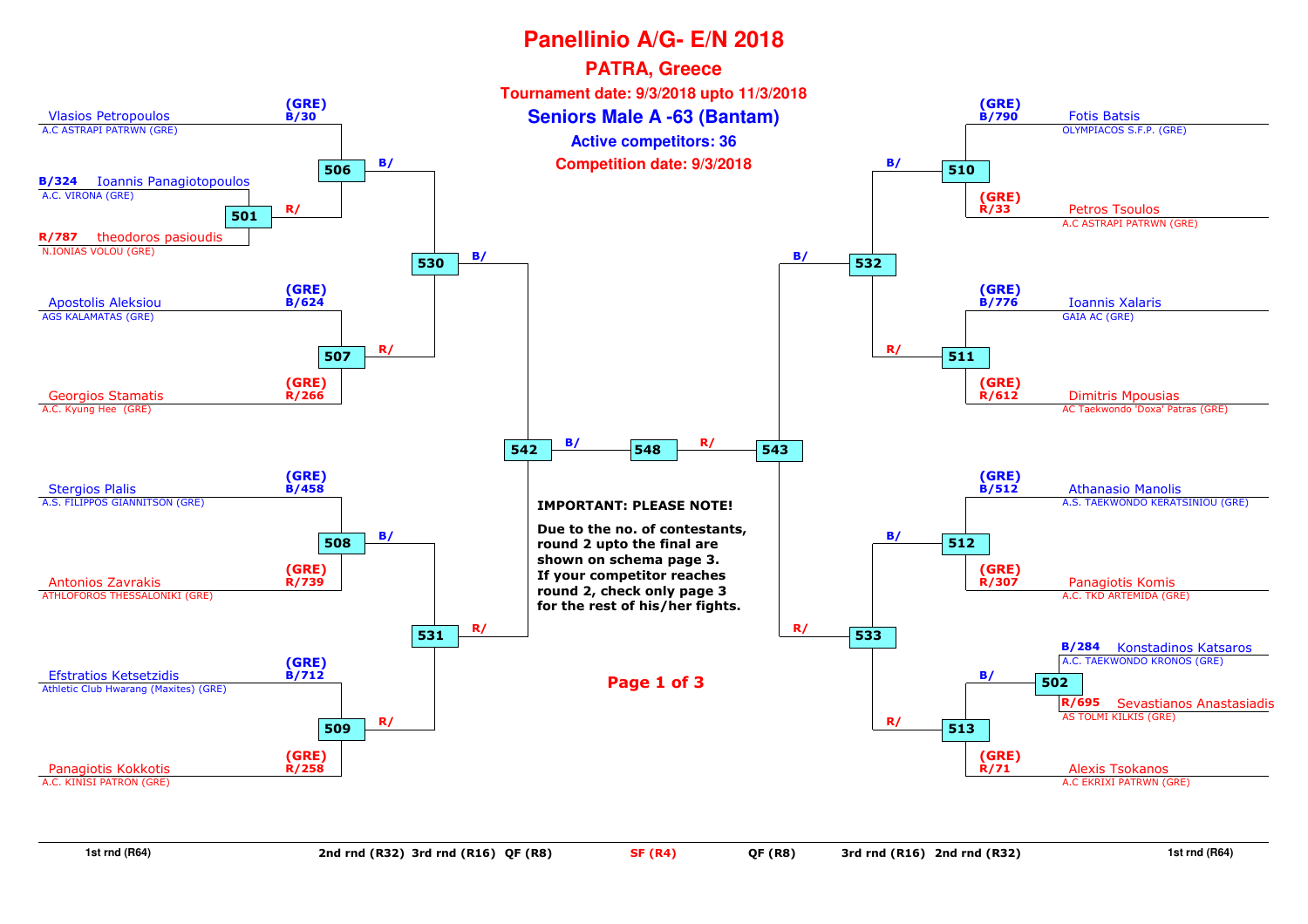

**1st rnd (R64)**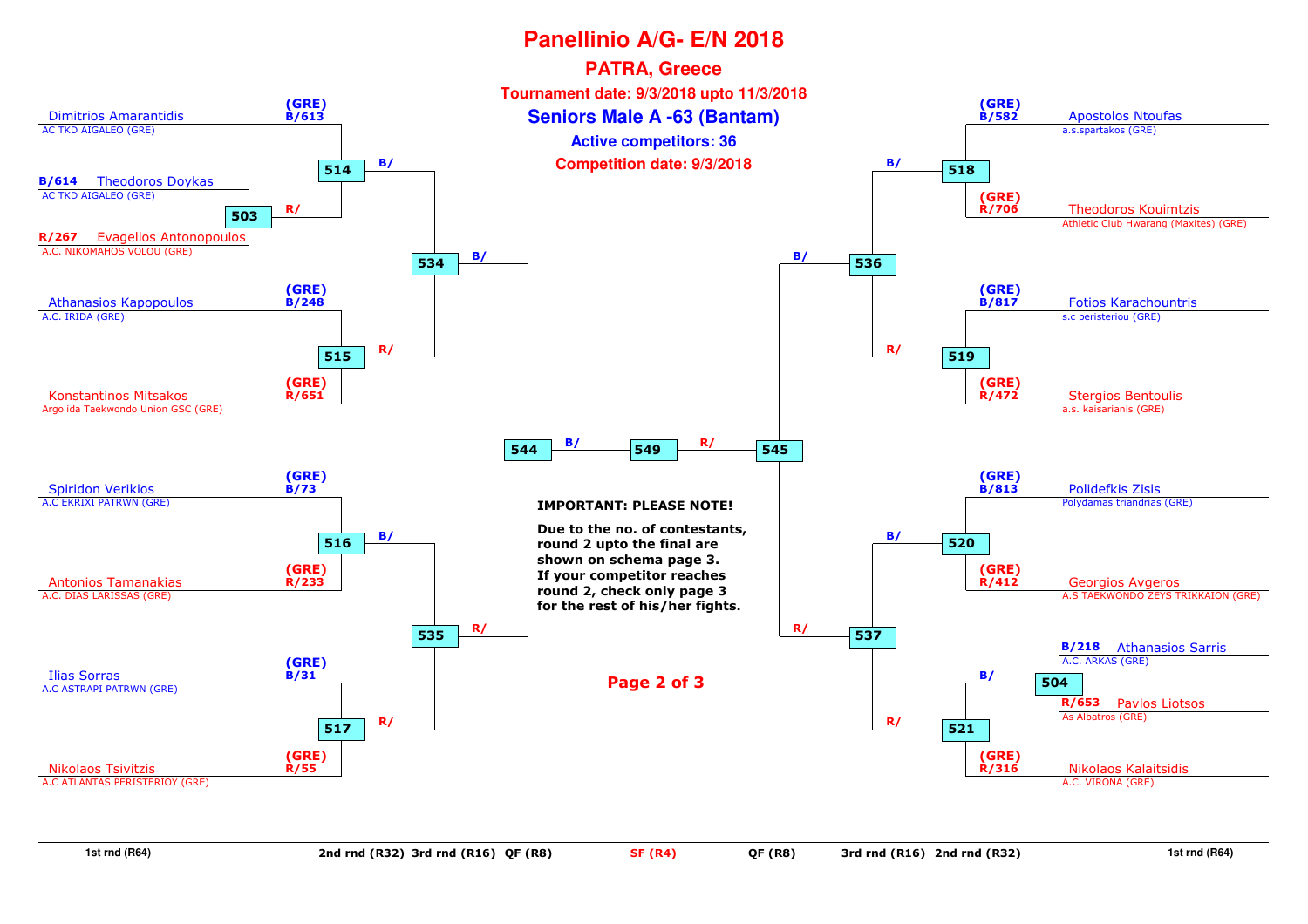

**1st rnd (R64)**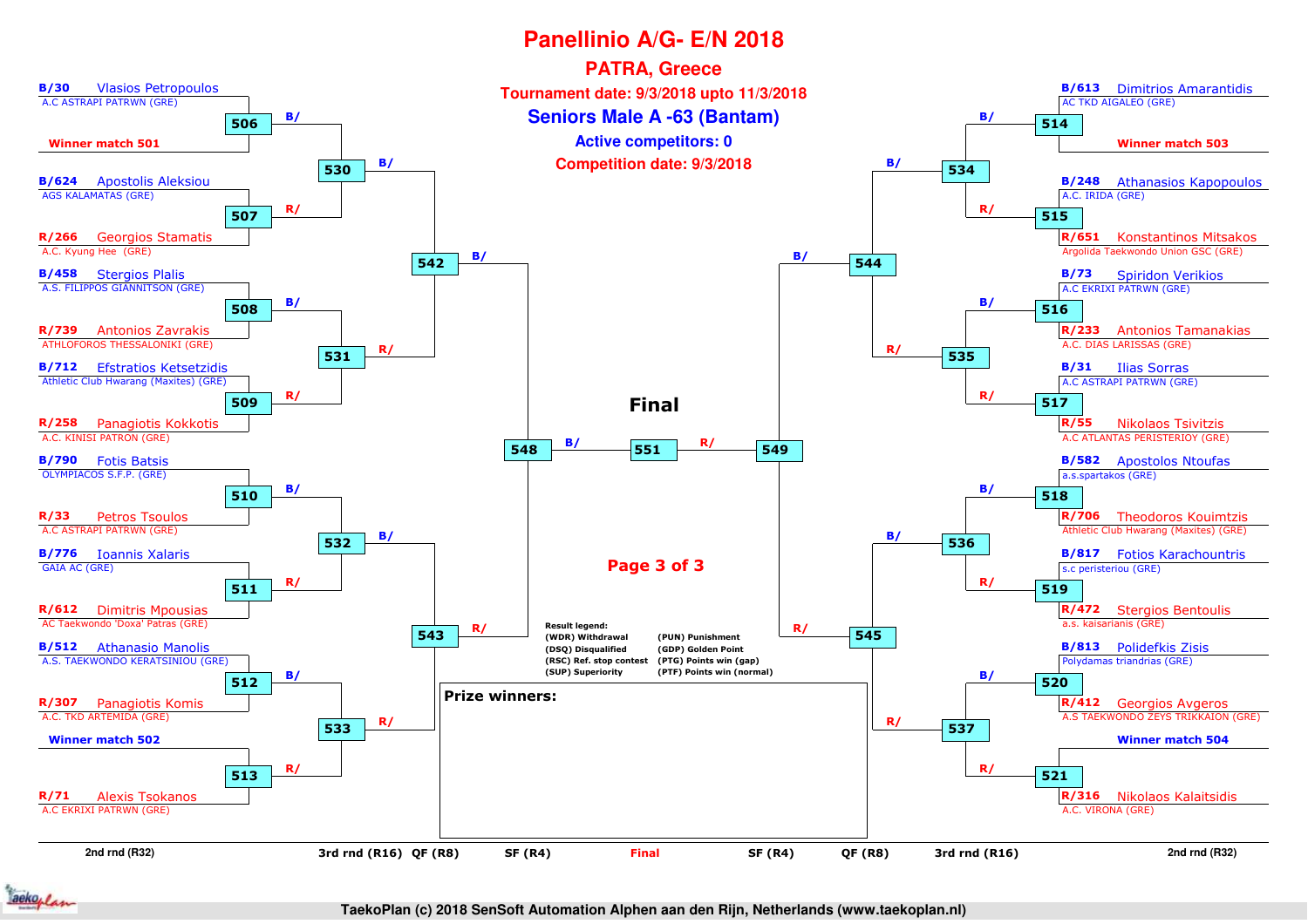

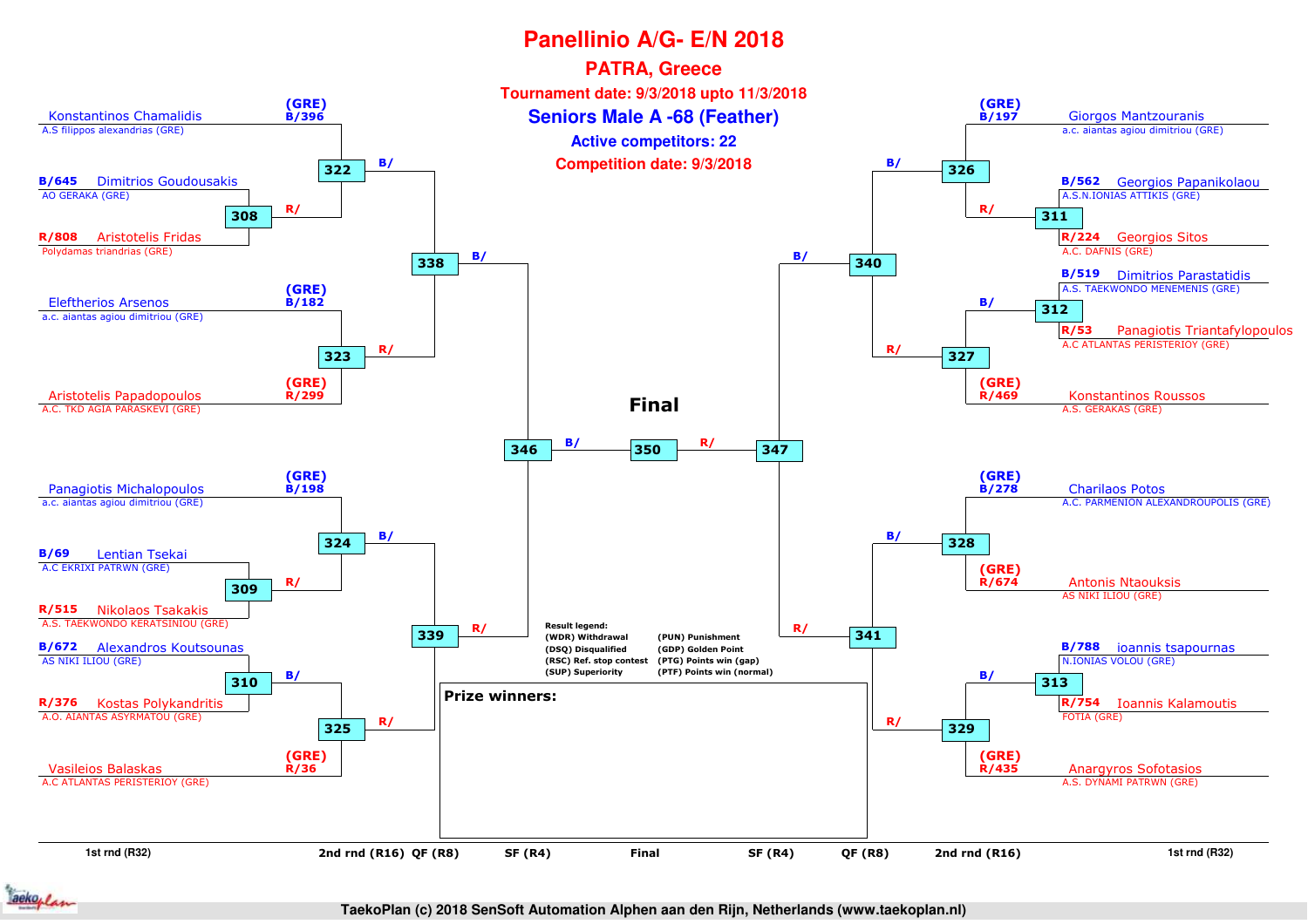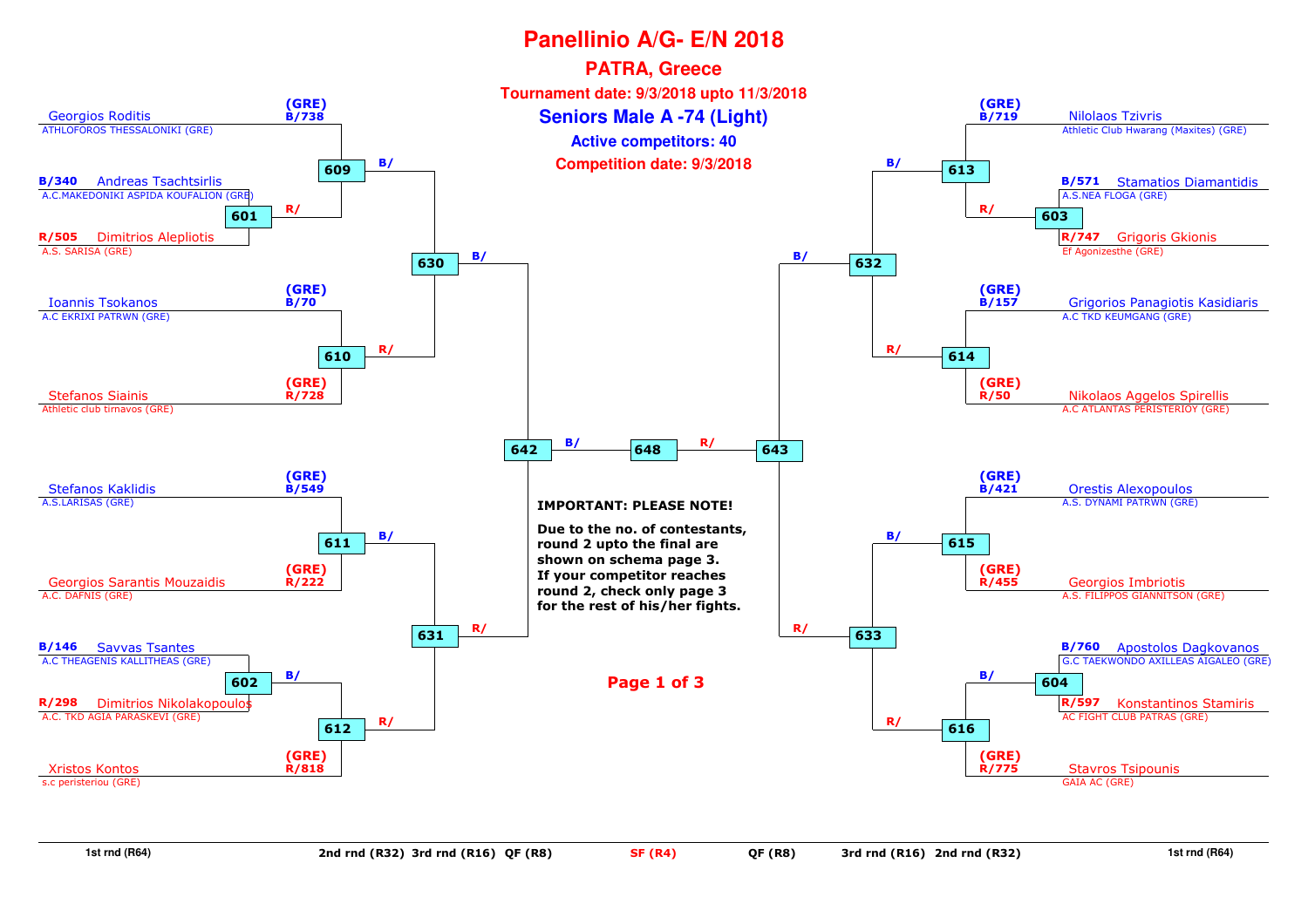

**1st rnd (R64)**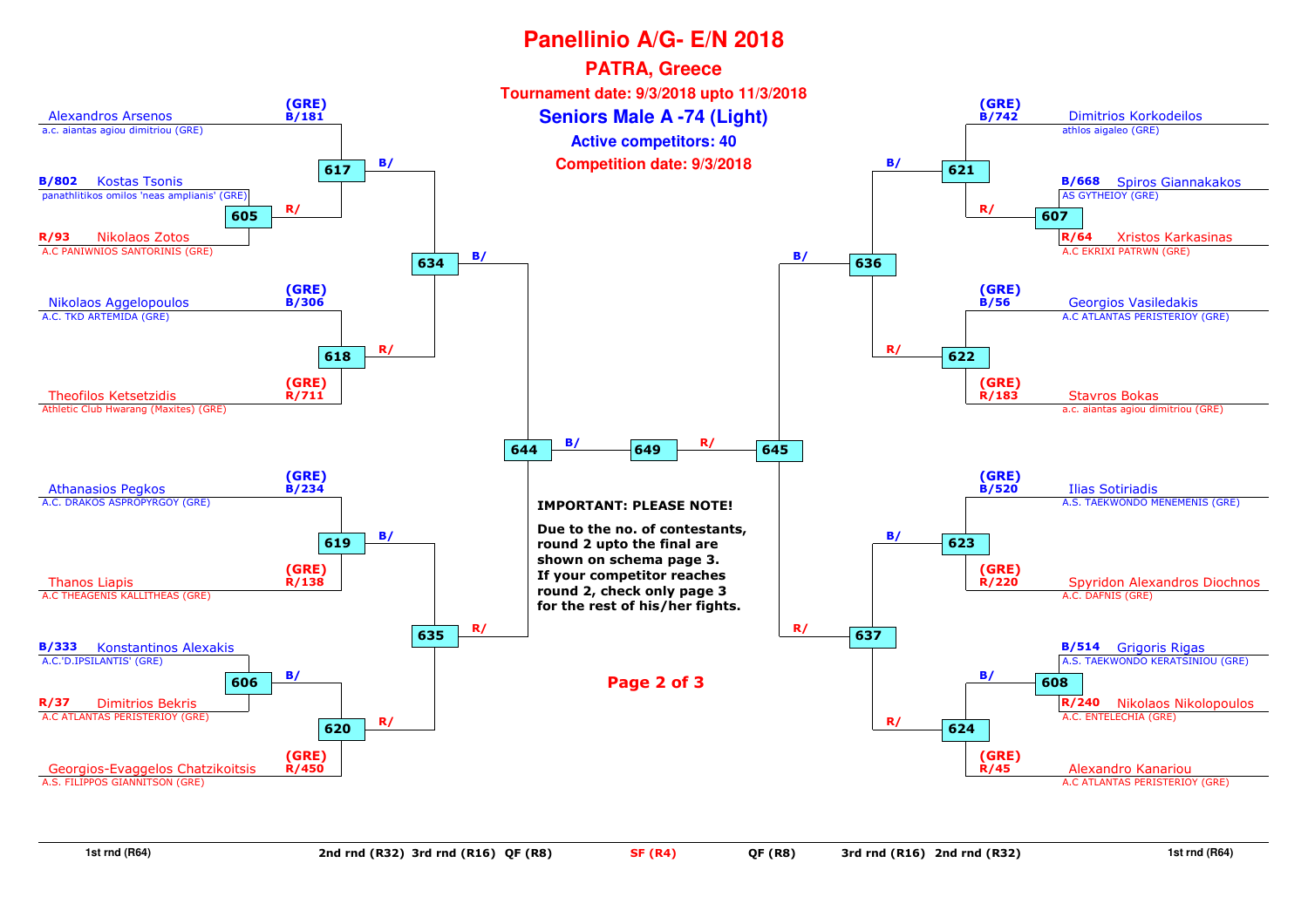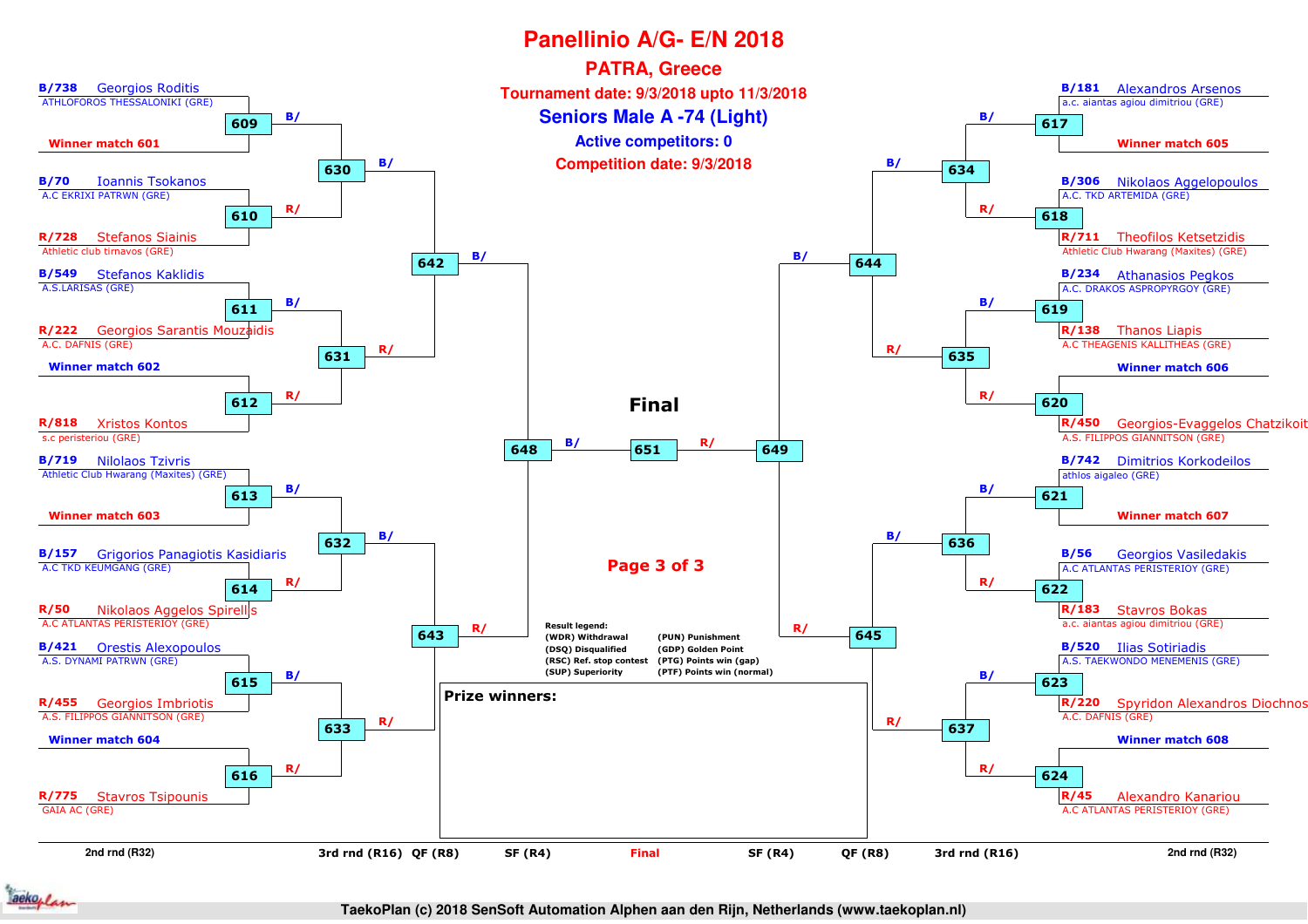

**TaekoPlan (c) 2018 SenSoft Automation Alphen aan den Rijn, Netherlands (www.taekoplan.nl)**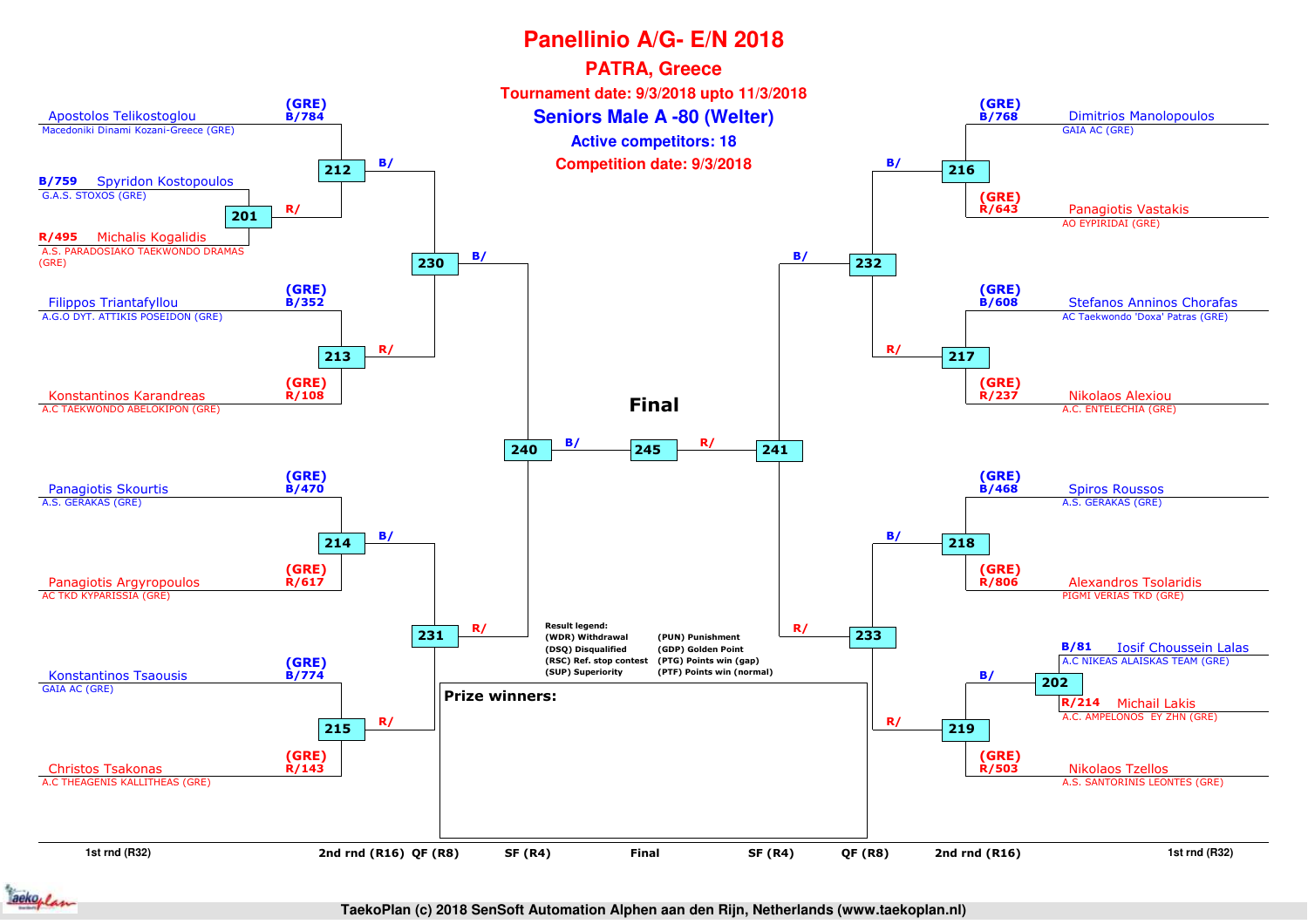

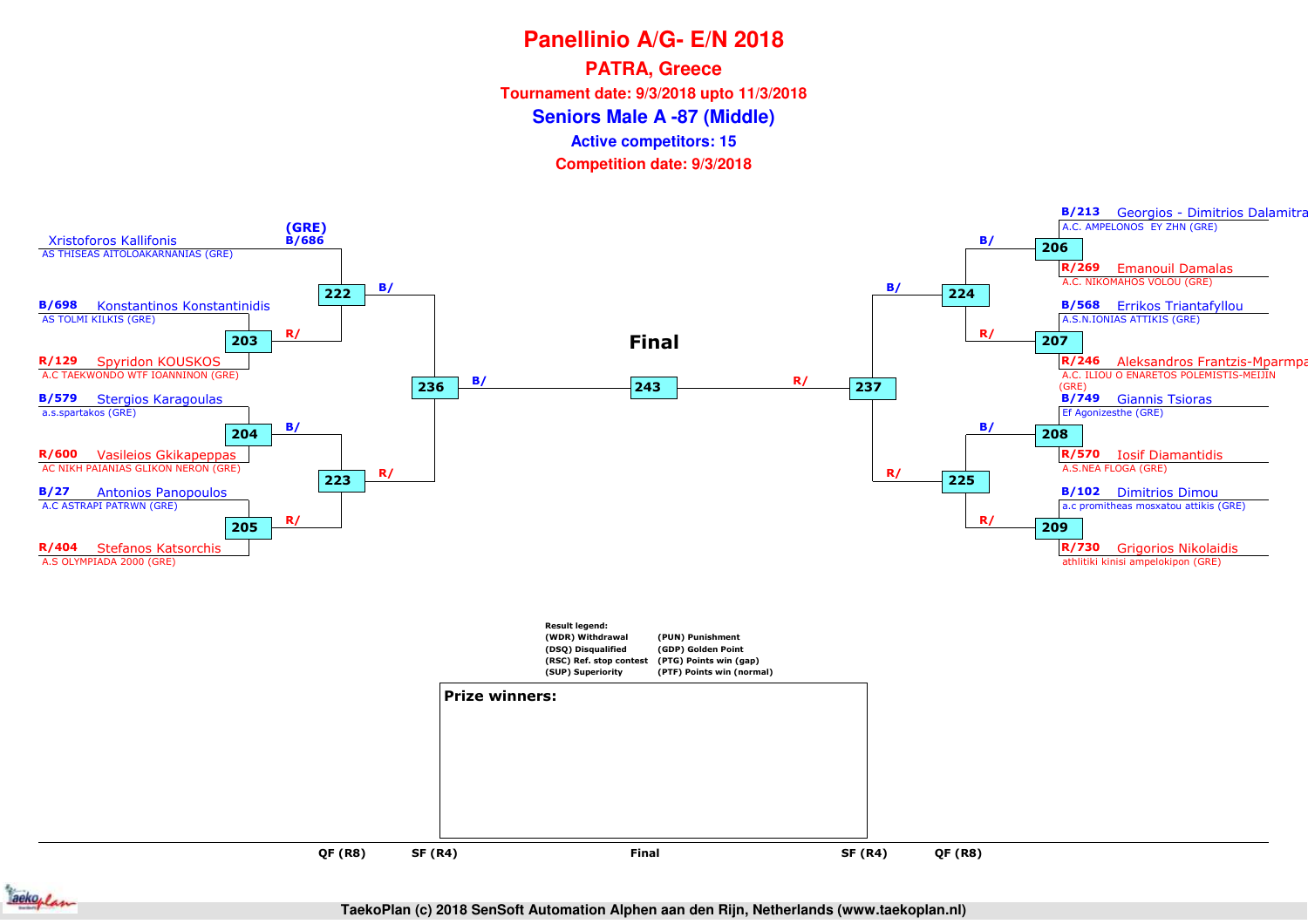**PATRA, Greece**

**Tournament date: 9/3/2018 upto 11/3/2018**

**Seniors Male A -87 (Middle)**

**Active competitors: 15**

**Competition date: 9/3/2018**



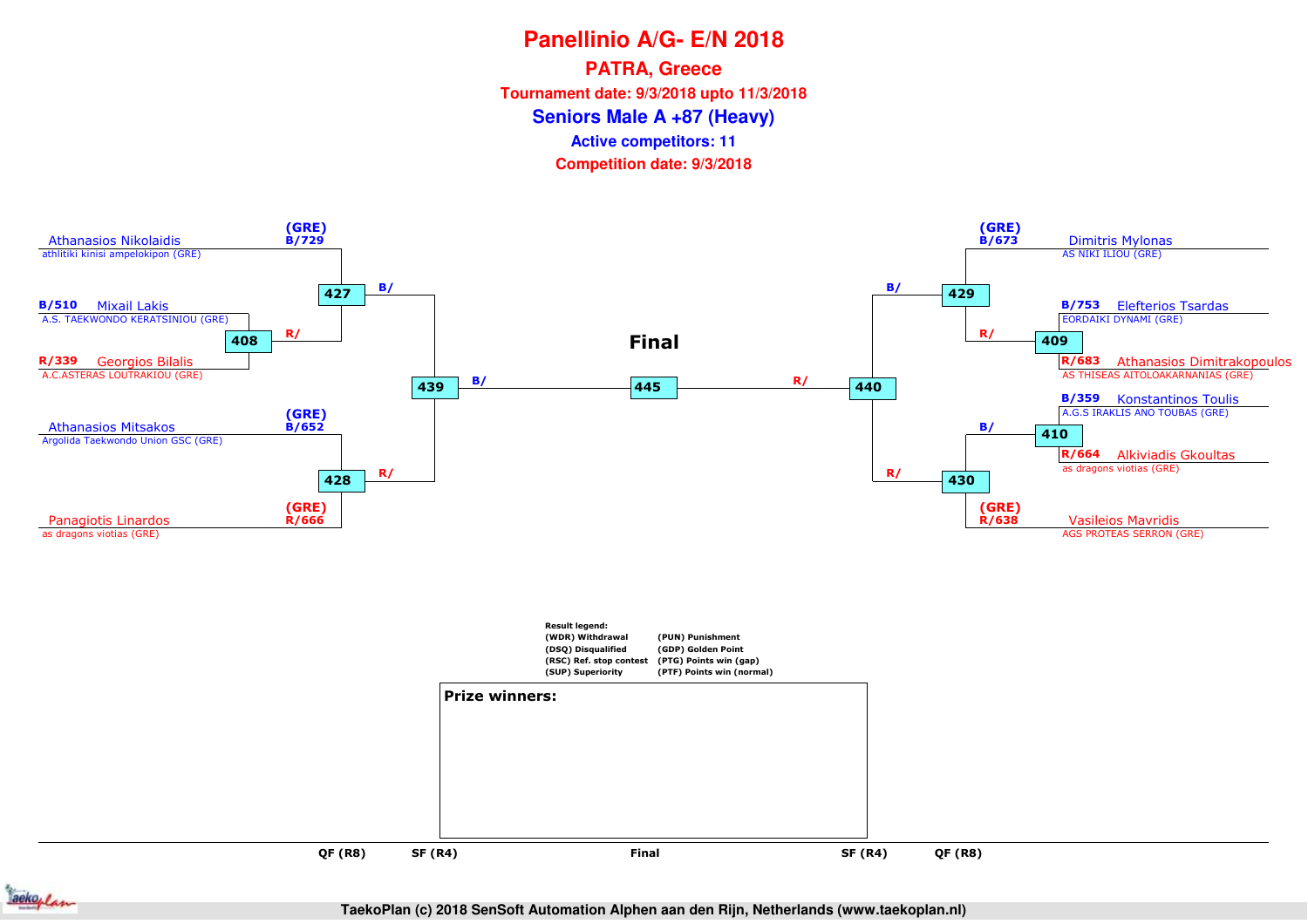**PATRA, Greece**

**Tournament date: 9/3/2018 upto 11/3/2018**

**Seniors Male A +87 (Heavy)**

**Active competitors: 11**

**Competition date: 9/3/2018**



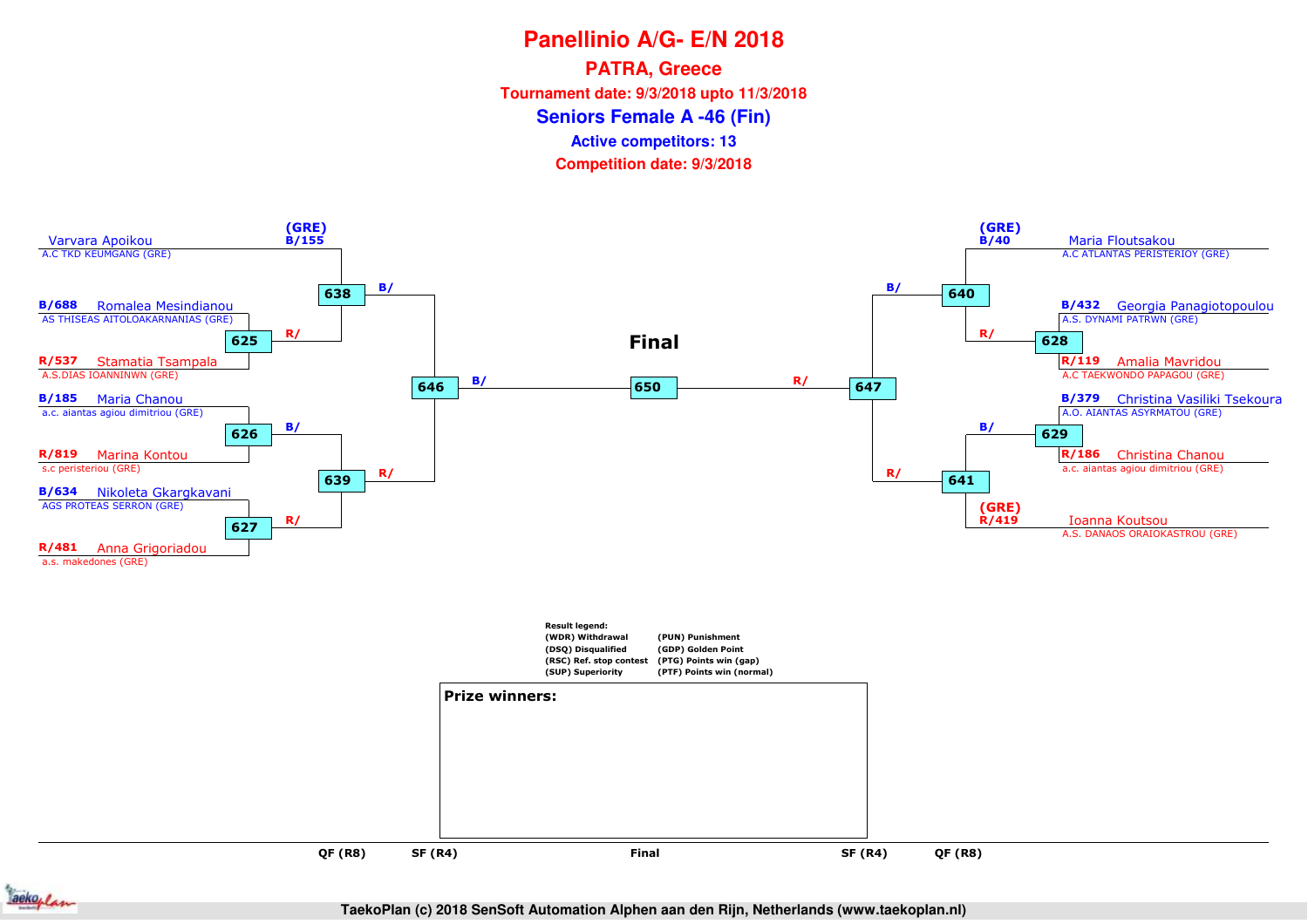**PATRA, Greece**

**Tournament date: 9/3/2018 upto 11/3/2018**

**Seniors Female A -46 (Fin)**

**Active competitors: 13**

**Competition date: 9/3/2018**



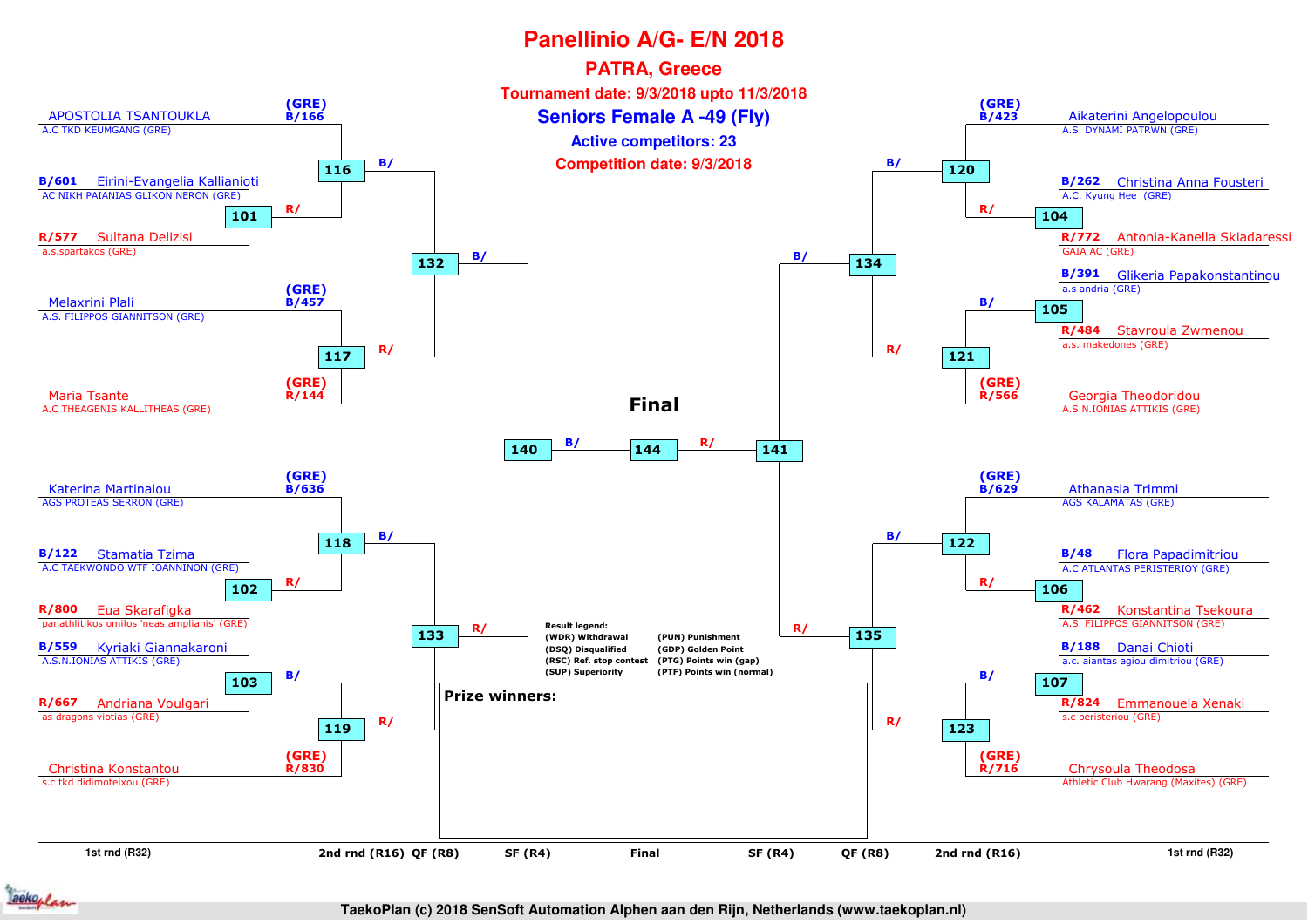

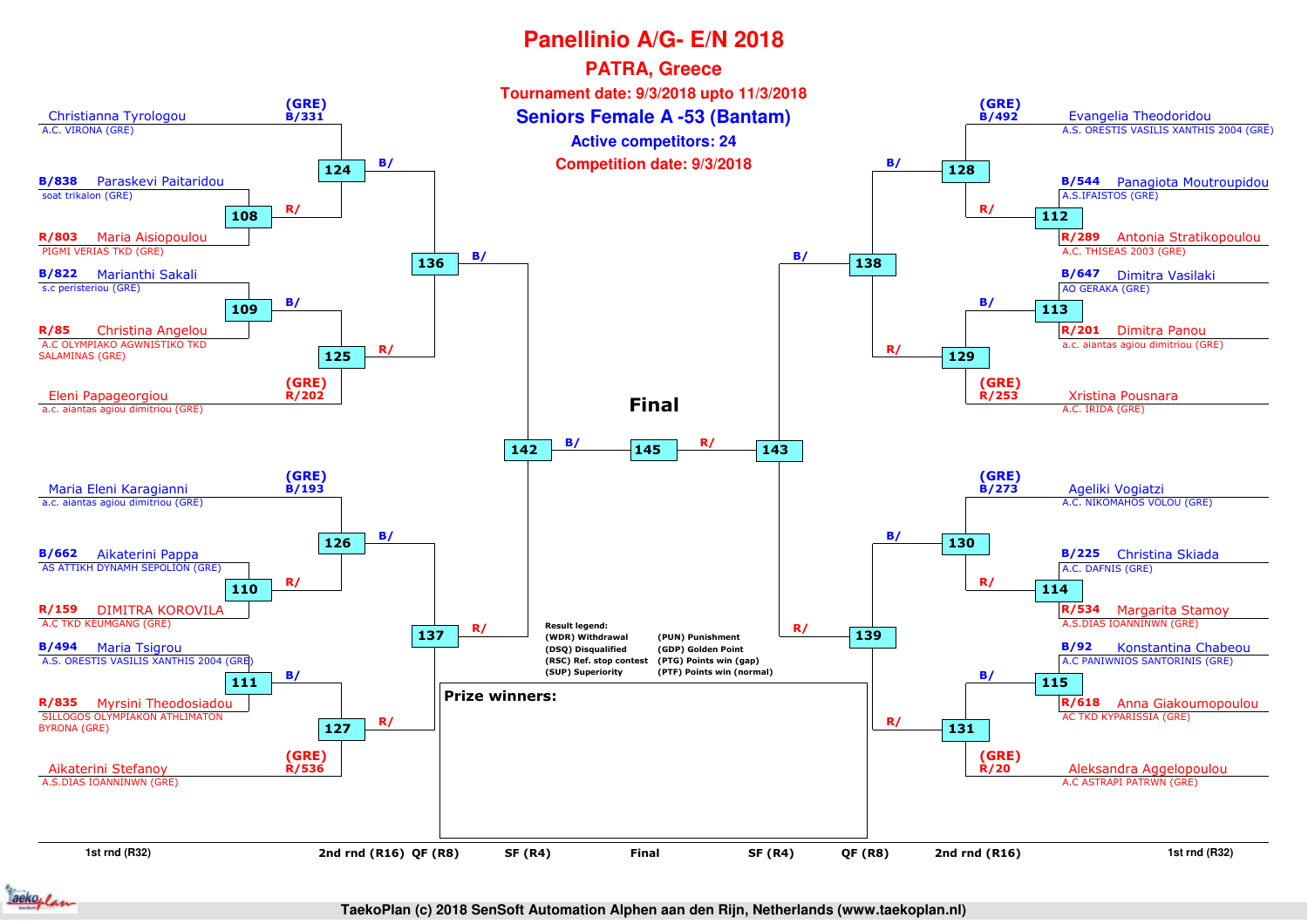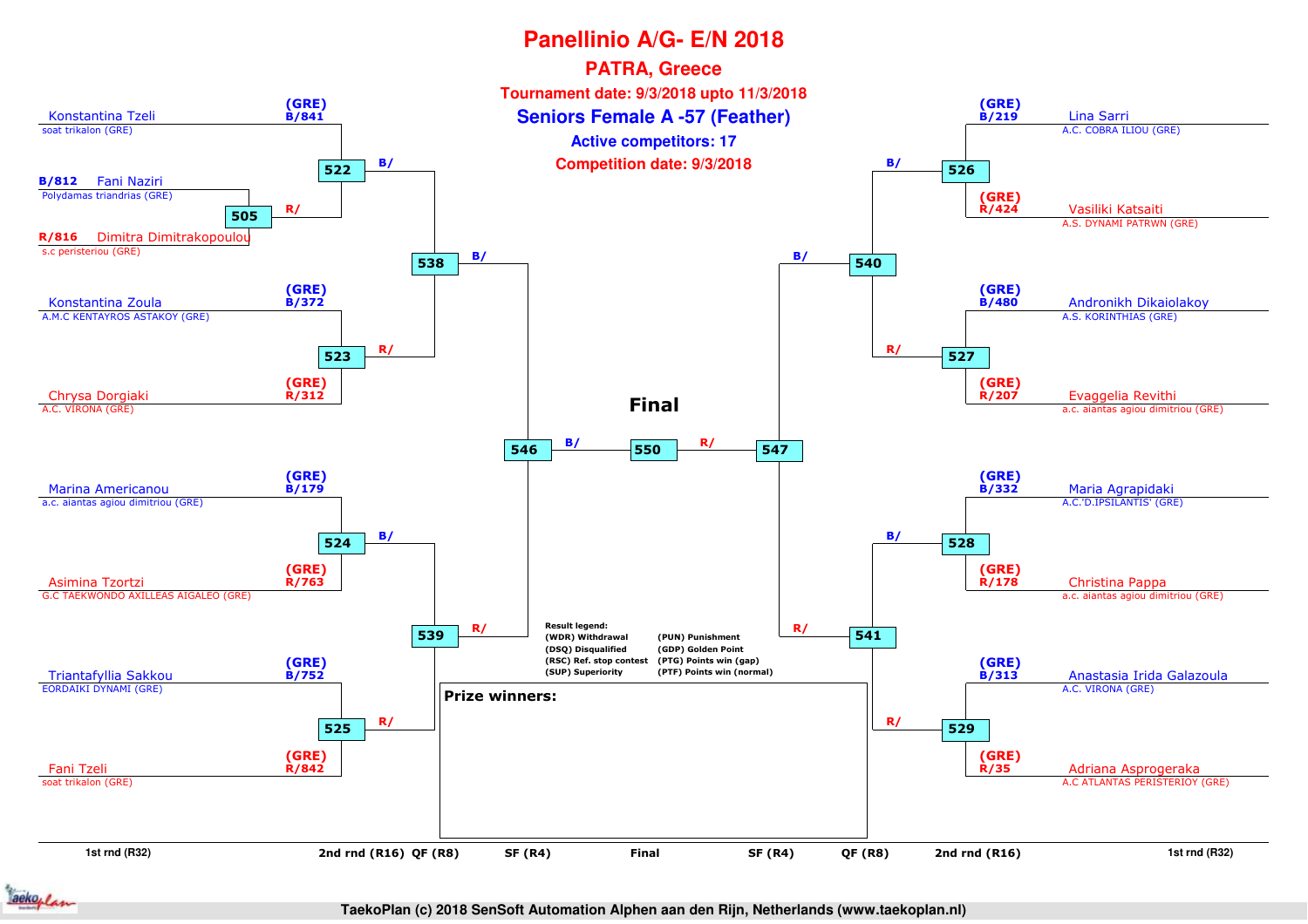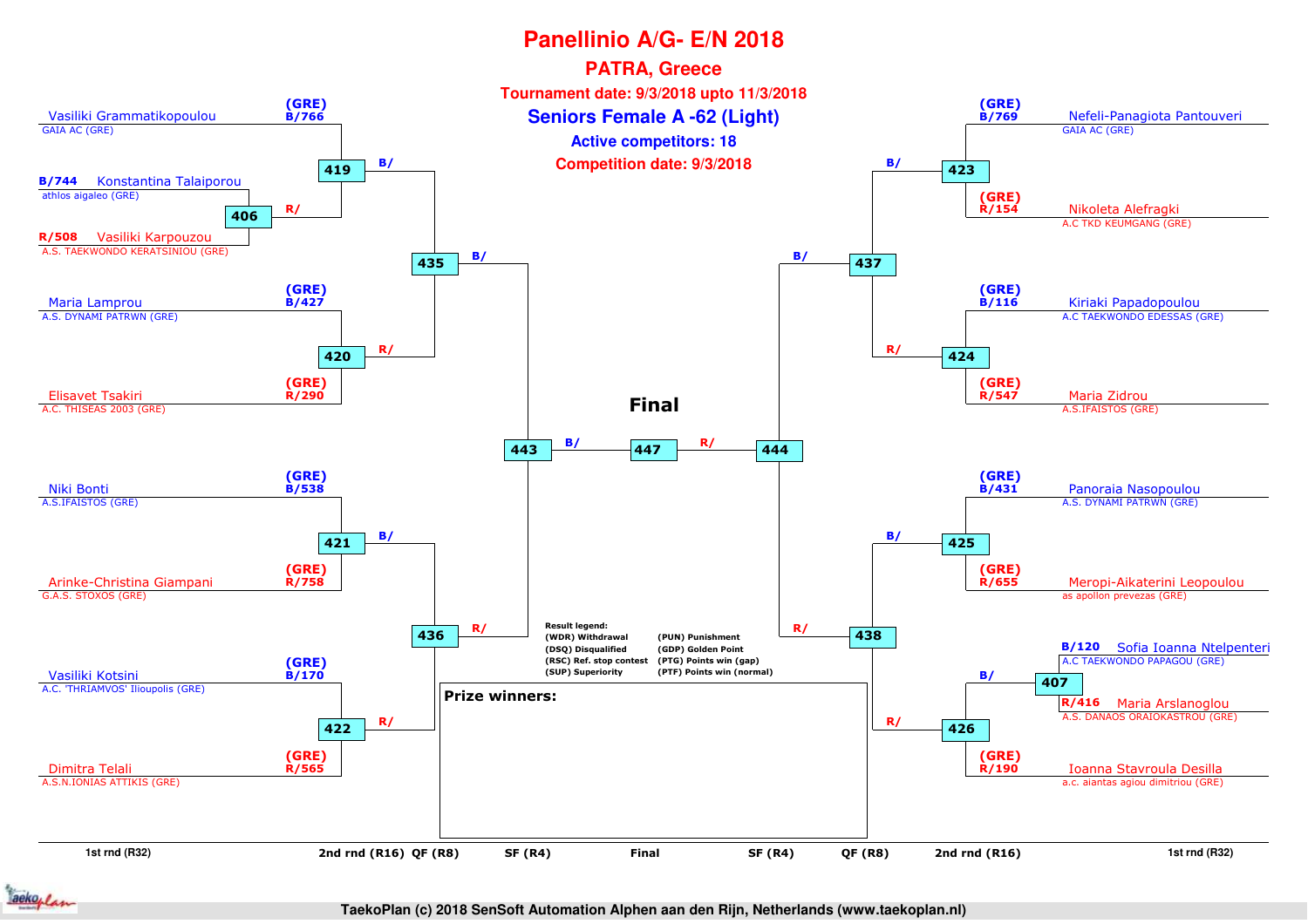

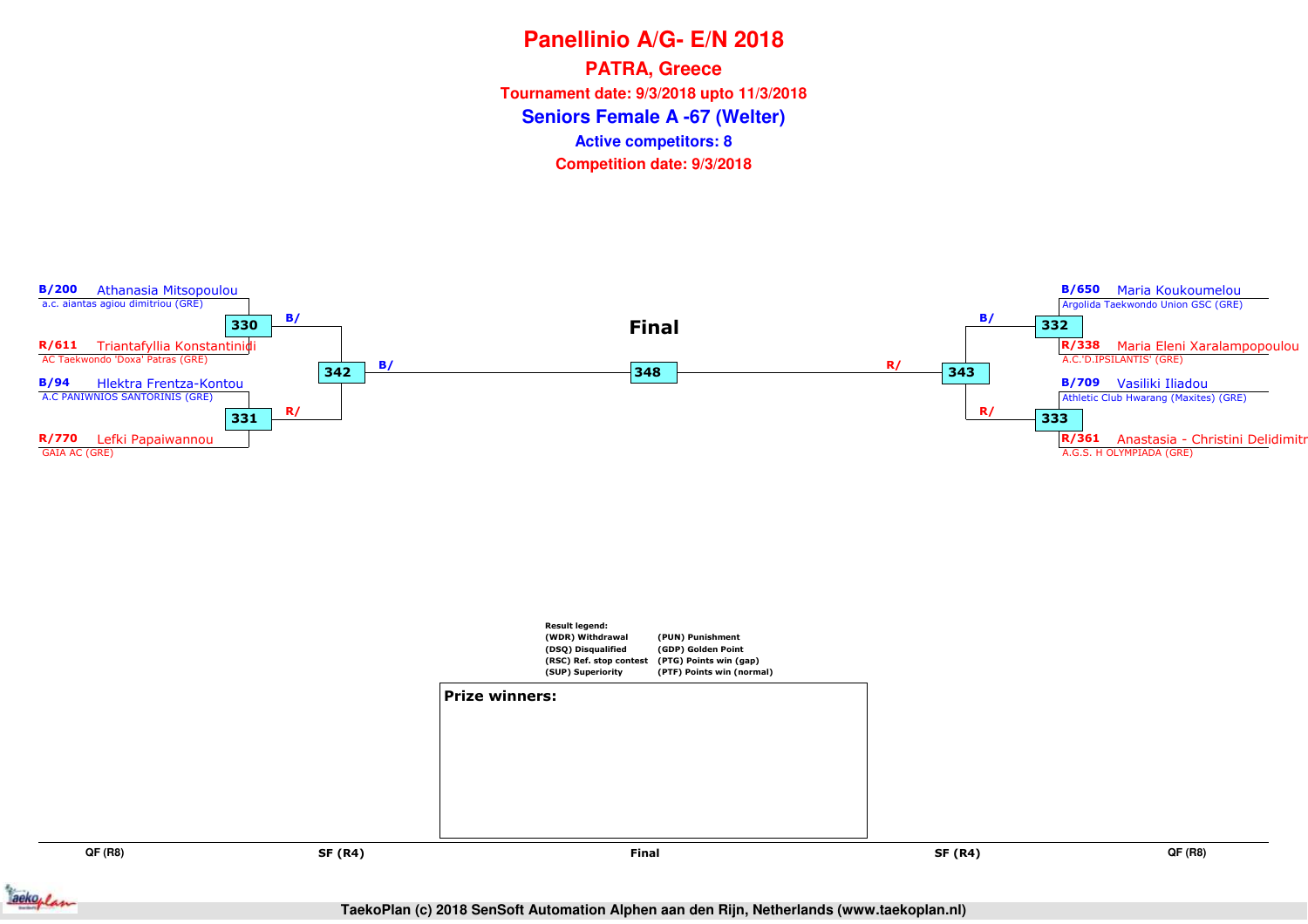**Panellinio A/G- E/N 2018Seniors Female A -67 (Welter)PATRA, Greece Tournament date: 9/3/2018 upto 11/3/2018Competition date: 9/3/2018 Active competitors: 8**



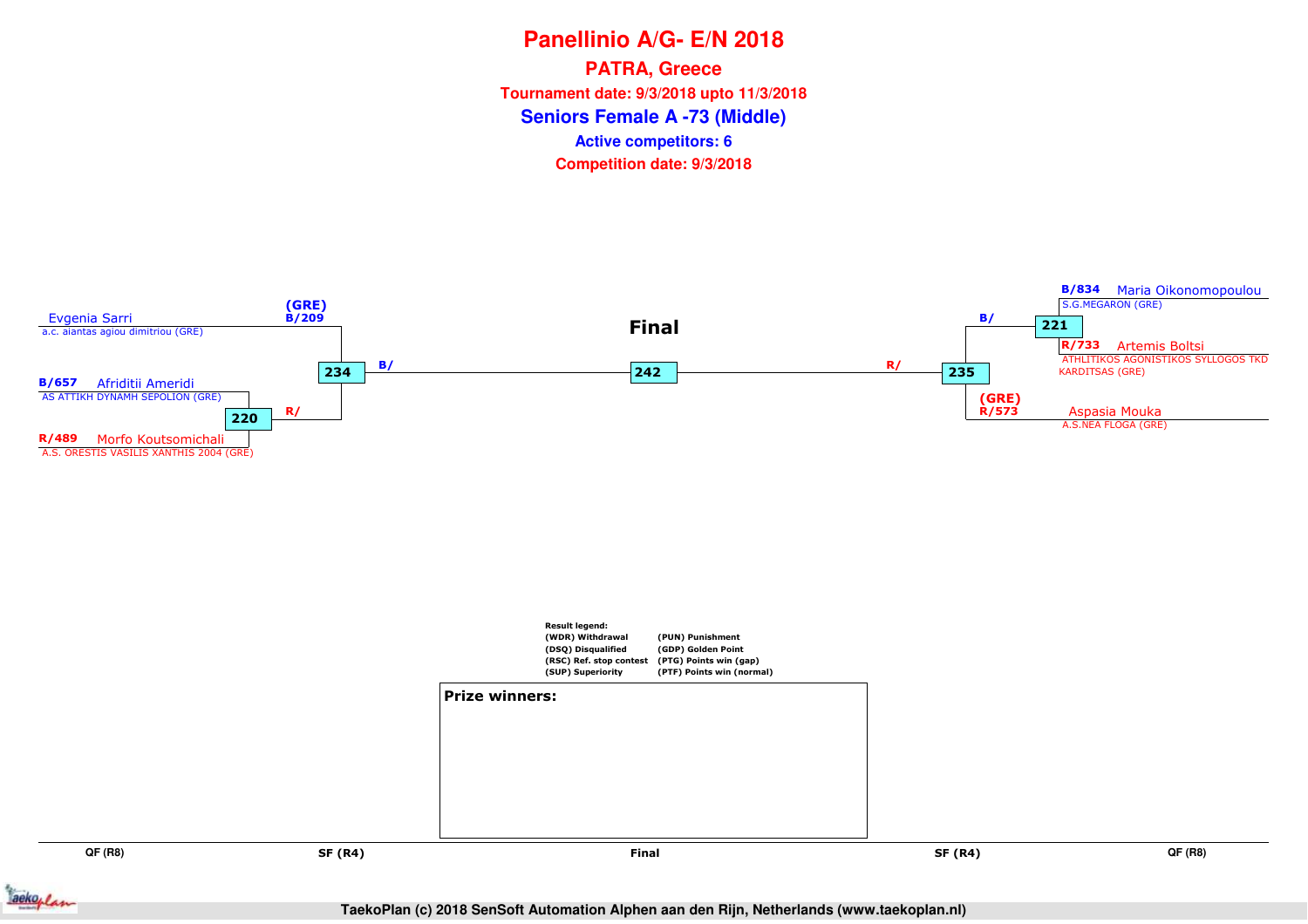# **Panellinio A/G- E/N 2018Seniors Female A -73 (Middle)PATRA, Greece Tournament date: 9/3/2018 upto 11/3/2018Competition date: 9/3/2018 Active competitors: 6**